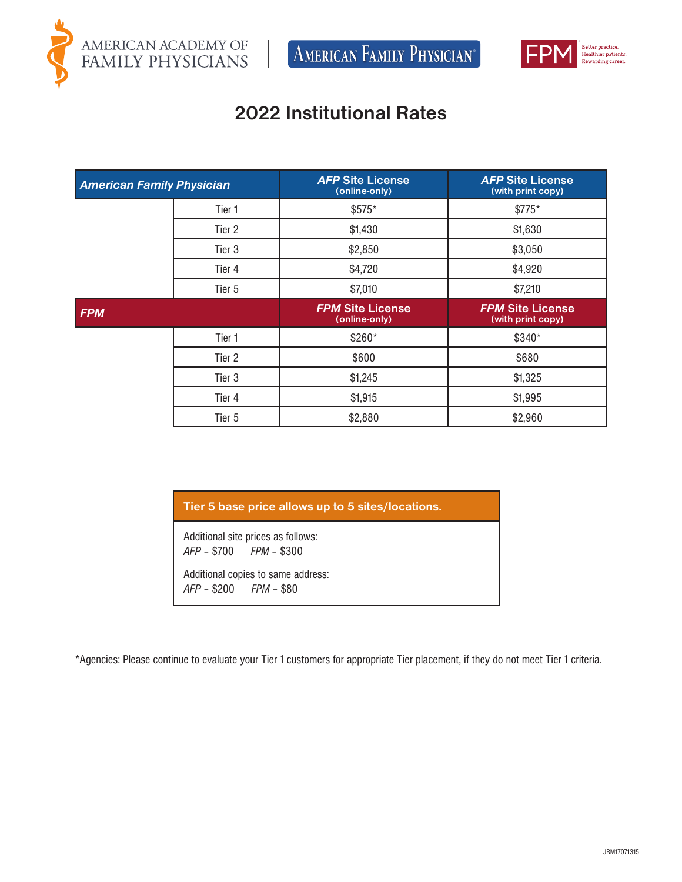

 $\left[$  American Family Physician<sup>®</sup>



## **2022 Institutional Rates**

| <b>American Family Physician</b> |                   | <b>AFP Site License</b><br>(online-only) | <b>AFP Site License</b><br>(with print copy) |
|----------------------------------|-------------------|------------------------------------------|----------------------------------------------|
|                                  | Tier 1            | \$575*                                   | \$775*                                       |
|                                  | Tier 2            | \$1,430                                  | \$1,630                                      |
|                                  | Tier 3            | \$2,850                                  | \$3,050                                      |
|                                  | Tier 4            | \$4,720                                  | \$4,920                                      |
|                                  | Tier 5            | \$7,010                                  | \$7,210                                      |
| <b>FPM</b>                       |                   |                                          |                                              |
|                                  |                   | <b>FPM Site License</b><br>(online-only) | <b>FPM Site License</b><br>(with print copy) |
|                                  | Tier 1            | \$260*                                   | \$340*                                       |
|                                  | Tier 2            | \$600                                    | \$680                                        |
|                                  | Tier <sub>3</sub> | \$1,245                                  | \$1,325                                      |
|                                  | Tier 4            | \$1,915                                  | \$1,995                                      |

## **Tier 5 base price allows up to 5 sites/locations.**

Additional site prices as follows: *AFP* – \$700 *FPM* – \$300

Additional copies to same address: *AFP* – \$200 *FPM* – \$80

\*Agencies: Please continue to evaluate your Tier 1 customers for appropriate Tier placement, if they do not meet Tier 1 criteria.